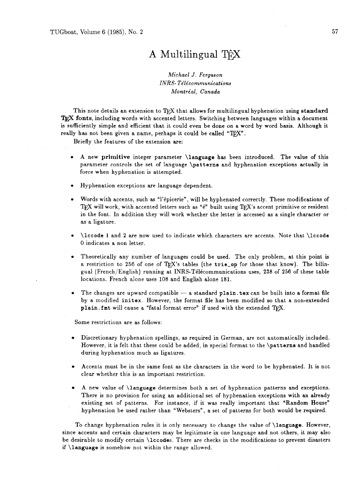## **A** Multilingual

## *Michael J. Ferguson INRS- Te'le'communications Montréal, Canada*

This note details an extension to TEX that allows for multilingual hyphenation using standard TEX fonts, including words with accented letters. Switching between languages within a document is sufficiently simple and efficient that it could even be done on a word by word basis. Although it really has not been given a name, perhaps it could be called "TEX".

Briefly the features of the extension are:

- $\bullet$ **A** new **primitive** integer parameter **\language** has been introduced. The value of this parameter controls the set of language **\patterns** and hyphenation exceptions actually in force when hyphenation is attempted.
- Hyphenation exceptions are language dependent.
- Words with accents, such as "l'épicerie", will be hyphenated correctly. These modifications of TEX will work, with accented letters such as "e" built using TEX's accent primitive or resident in the font. In addition they will work whether the letter is accessed as a single character or as a ligature.
- **\lccode 1** and **2** are now used to indicate which characters are accents. Note that **\lccode**  0 indicates a non letter.
- Theoretically any number of languages could be used. The only problem, at this point is a restriction to 256 of one of TFX's tables (the trie\_op for those that know). The bilingual (French/English) running at INRS-Télécommunications uses, 238 of 256 of these table locations. French alone uses 108 and English alone 181.
- The changes are upward compatible a standard **plain** tex can be built into a format file by a modified **initex.** However, the format file has been modified so that a non-extended plain. fmt will cause a "fatal format error" if used with the extended T<sub>F</sub>X.

Some restrictions are as follows:

- Discretionary hyphenation spellings, as required in German, are not automatically included.  $\bullet$ However, it is felt that these could be added, in special format to the **\patterns** and handled during hyphenation much as ligatures.
- Accents must be in the same font as the characters in the word to be hyphenated. It is not clear whether this is an important restriction.
- A new value of **\language** determines both a set of hyphenation patterns and exceptions. There is no provision for using an additional set of hyphenation exceptions with an already existing set of patterns. For instance, if it was really important that "Random House" hyphenation be used rather than "Websters", a set of patterns for both would be required.

To change hyphenation rules it is only necessary to change the value of **\language.** However, since accents and certain characters may be legitimate in one language and not others, it may also be desirable to modify certain **\lccodes.** There are checks in the modifications to prevent disasters if **\language** is somehow not within the range allowed.